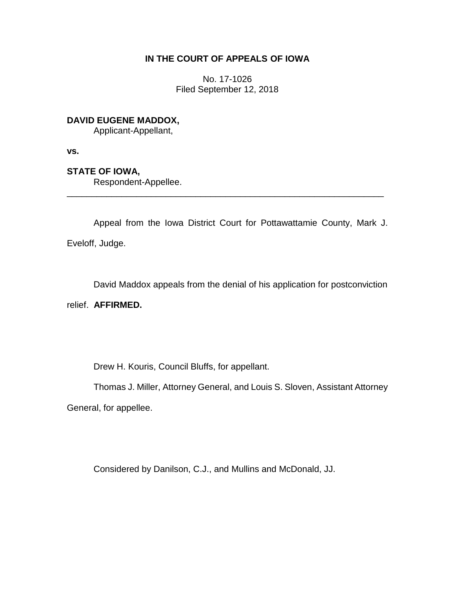# **IN THE COURT OF APPEALS OF IOWA**

No. 17-1026 Filed September 12, 2018

**DAVID EUGENE MADDOX,**

Applicant-Appellant,

**vs.**

**STATE OF IOWA,**

Respondent-Appellee.

Appeal from the Iowa District Court for Pottawattamie County, Mark J. Eveloff, Judge.

\_\_\_\_\_\_\_\_\_\_\_\_\_\_\_\_\_\_\_\_\_\_\_\_\_\_\_\_\_\_\_\_\_\_\_\_\_\_\_\_\_\_\_\_\_\_\_\_\_\_\_\_\_\_\_\_\_\_\_\_\_\_\_\_

David Maddox appeals from the denial of his application for postconviction

relief. **AFFIRMED.**

Drew H. Kouris, Council Bluffs, for appellant.

Thomas J. Miller, Attorney General, and Louis S. Sloven, Assistant Attorney

General, for appellee.

Considered by Danilson, C.J., and Mullins and McDonald, JJ.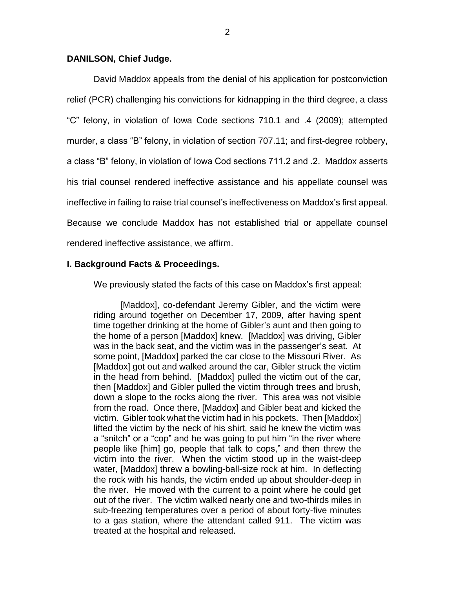## **DANILSON, Chief Judge.**

David Maddox appeals from the denial of his application for postconviction relief (PCR) challenging his convictions for kidnapping in the third degree, a class "C" felony, in violation of Iowa Code sections 710.1 and .4 (2009); attempted murder, a class "B" felony, in violation of section 707.11; and first-degree robbery, a class "B" felony, in violation of Iowa Cod sections 711.2 and .2. Maddox asserts his trial counsel rendered ineffective assistance and his appellate counsel was ineffective in failing to raise trial counsel's ineffectiveness on Maddox's first appeal. Because we conclude Maddox has not established trial or appellate counsel rendered ineffective assistance, we affirm.

## **I. Background Facts & Proceedings.**

We previously stated the facts of this case on Maddox's first appeal:

[Maddox], co-defendant Jeremy Gibler, and the victim were riding around together on December 17, 2009, after having spent time together drinking at the home of Gibler's aunt and then going to the home of a person [Maddox] knew. [Maddox] was driving, Gibler was in the back seat, and the victim was in the passenger's seat. At some point, [Maddox] parked the car close to the Missouri River. As [Maddox] got out and walked around the car, Gibler struck the victim in the head from behind. [Maddox] pulled the victim out of the car, then [Maddox] and Gibler pulled the victim through trees and brush, down a slope to the rocks along the river. This area was not visible from the road. Once there, [Maddox] and Gibler beat and kicked the victim. Gibler took what the victim had in his pockets. Then [Maddox] lifted the victim by the neck of his shirt, said he knew the victim was a "snitch" or a "cop" and he was going to put him "in the river where people like [him] go, people that talk to cops," and then threw the victim into the river. When the victim stood up in the waist-deep water, [Maddox] threw a bowling-ball-size rock at him. In deflecting the rock with his hands, the victim ended up about shoulder-deep in the river. He moved with the current to a point where he could get out of the river. The victim walked nearly one and two-thirds miles in sub-freezing temperatures over a period of about forty-five minutes to a gas station, where the attendant called 911. The victim was treated at the hospital and released.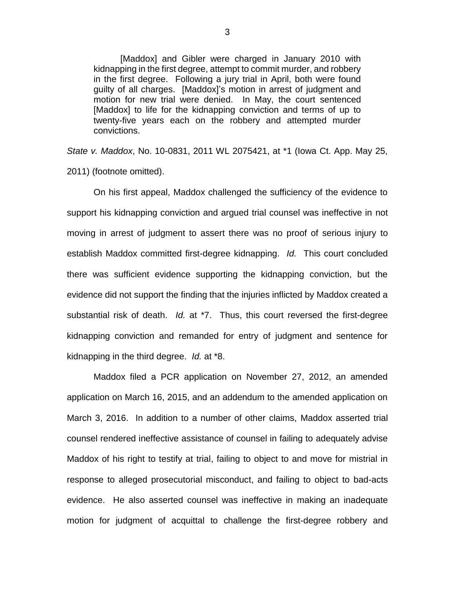[Maddox] and Gibler were charged in January 2010 with kidnapping in the first degree, attempt to commit murder, and robbery in the first degree. Following a jury trial in April, both were found guilty of all charges. [Maddox]'s motion in arrest of judgment and motion for new trial were denied. In May, the court sentenced [Maddox] to life for the kidnapping conviction and terms of up to twenty-five years each on the robbery and attempted murder convictions.

*State v. Maddox*, No. 10-0831, 2011 WL 2075421, at \*1 (Iowa Ct. App. May 25, 2011) (footnote omitted).

On his first appeal, Maddox challenged the sufficiency of the evidence to support his kidnapping conviction and argued trial counsel was ineffective in not moving in arrest of judgment to assert there was no proof of serious injury to establish Maddox committed first-degree kidnapping. *Id.* This court concluded there was sufficient evidence supporting the kidnapping conviction, but the evidence did not support the finding that the injuries inflicted by Maddox created a substantial risk of death. *Id.* at \*7. Thus, this court reversed the first-degree kidnapping conviction and remanded for entry of judgment and sentence for kidnapping in the third degree. *Id.* at \*8.

Maddox filed a PCR application on November 27, 2012, an amended application on March 16, 2015, and an addendum to the amended application on March 3, 2016. In addition to a number of other claims, Maddox asserted trial counsel rendered ineffective assistance of counsel in failing to adequately advise Maddox of his right to testify at trial, failing to object to and move for mistrial in response to alleged prosecutorial misconduct, and failing to object to bad-acts evidence. He also asserted counsel was ineffective in making an inadequate motion for judgment of acquittal to challenge the first-degree robbery and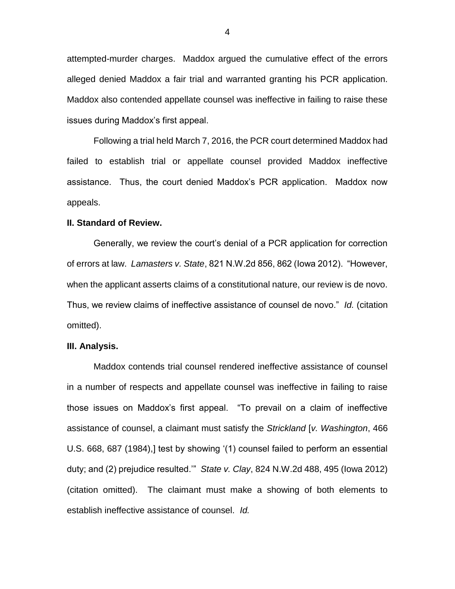attempted-murder charges. Maddox argued the cumulative effect of the errors alleged denied Maddox a fair trial and warranted granting his PCR application. Maddox also contended appellate counsel was ineffective in failing to raise these issues during Maddox's first appeal.

Following a trial held March 7, 2016, the PCR court determined Maddox had failed to establish trial or appellate counsel provided Maddox ineffective assistance. Thus, the court denied Maddox's PCR application. Maddox now appeals.

## **II. Standard of Review.**

Generally, we review the court's denial of a PCR application for correction of errors at law. *Lamasters v. State*, 821 N.W.2d 856, 862 (Iowa 2012). "However, when the applicant asserts claims of a constitutional nature, our review is de novo. Thus, we review claims of ineffective assistance of counsel de novo." *Id.* (citation omitted).

#### **III. Analysis.**

Maddox contends trial counsel rendered ineffective assistance of counsel in a number of respects and appellate counsel was ineffective in failing to raise those issues on Maddox's first appeal. "To prevail on a claim of ineffective assistance of counsel, a claimant must satisfy the *Strickland* [*v. Washington*, 466 U.S. 668, 687 (1984),] test by showing '(1) counsel failed to perform an essential duty; and (2) prejudice resulted.'" *State v. Clay*, 824 N.W.2d 488, 495 (Iowa 2012) (citation omitted). The claimant must make a showing of both elements to establish ineffective assistance of counsel. *Id.*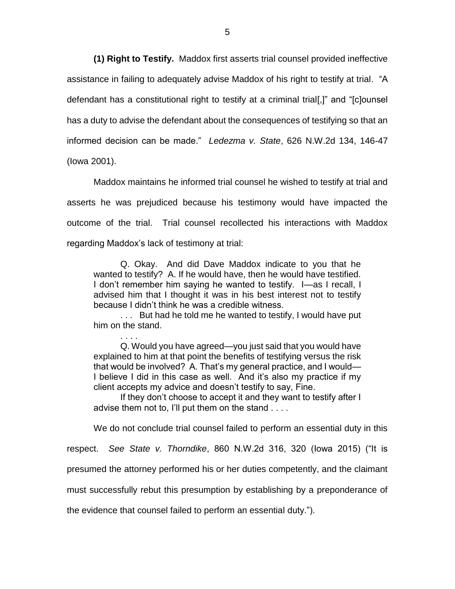**(1) Right to Testify.** Maddox first asserts trial counsel provided ineffective assistance in failing to adequately advise Maddox of his right to testify at trial. "A defendant has a constitutional right to testify at a criminal trial[,]" and "[c]ounsel has a duty to advise the defendant about the consequences of testifying so that an informed decision can be made." *Ledezma v. State*, 626 N.W.2d 134, 146-47 (Iowa 2001).

Maddox maintains he informed trial counsel he wished to testify at trial and asserts he was prejudiced because his testimony would have impacted the outcome of the trial. Trial counsel recollected his interactions with Maddox regarding Maddox's lack of testimony at trial:

Q. Okay. And did Dave Maddox indicate to you that he wanted to testify? A. If he would have, then he would have testified. I don't remember him saying he wanted to testify. I—as I recall, I advised him that I thought it was in his best interest not to testify because I didn't think he was a credible witness.

. . . But had he told me he wanted to testify, I would have put him on the stand.

. . . . Q. Would you have agreed—you just said that you would have explained to him at that point the benefits of testifying versus the risk that would be involved? A. That's my general practice, and I would— I believe I did in this case as well. And it's also my practice if my client accepts my advice and doesn't testify to say, Fine.

If they don't choose to accept it and they want to testify after I advise them not to, I'll put them on the stand . . . .

We do not conclude trial counsel failed to perform an essential duty in this

respect. *See State v. Thorndike*, 860 N.W.2d 316, 320 (Iowa 2015) ("It is

presumed the attorney performed his or her duties competently, and the claimant

must successfully rebut this presumption by establishing by a preponderance of

the evidence that counsel failed to perform an essential duty.").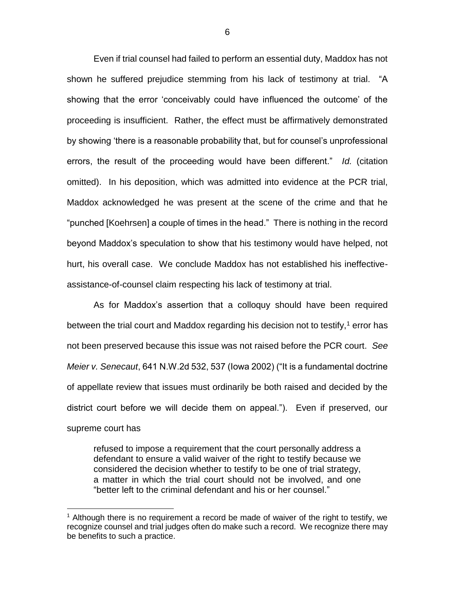Even if trial counsel had failed to perform an essential duty, Maddox has not shown he suffered prejudice stemming from his lack of testimony at trial. "A showing that the error 'conceivably could have influenced the outcome' of the proceeding is insufficient. Rather, the effect must be affirmatively demonstrated by showing 'there is a reasonable probability that, but for counsel's unprofessional errors, the result of the proceeding would have been different." *Id.* (citation omitted). In his deposition, which was admitted into evidence at the PCR trial, Maddox acknowledged he was present at the scene of the crime and that he "punched [Koehrsen] a couple of times in the head." There is nothing in the record beyond Maddox's speculation to show that his testimony would have helped, not hurt, his overall case. We conclude Maddox has not established his ineffectiveassistance-of-counsel claim respecting his lack of testimony at trial.

As for Maddox's assertion that a colloquy should have been required between the trial court and Maddox regarding his decision not to testify,<sup>1</sup> error has not been preserved because this issue was not raised before the PCR court. *See Meier v. Senecaut*, 641 N.W.2d 532, 537 (Iowa 2002) ("It is a fundamental doctrine of appellate review that issues must ordinarily be both raised and decided by the district court before we will decide them on appeal.").Even if preserved, our supreme court has

refused to impose a requirement that the court personally address a defendant to ensure a valid waiver of the right to testify because we considered the decision whether to testify to be one of trial strategy, a matter in which the trial court should not be involved, and one "better left to the criminal defendant and his or her counsel."

 $\overline{a}$ 

<sup>&</sup>lt;sup>1</sup> Although there is no requirement a record be made of waiver of the right to testify, we recognize counsel and trial judges often do make such a record. We recognize there may be benefits to such a practice.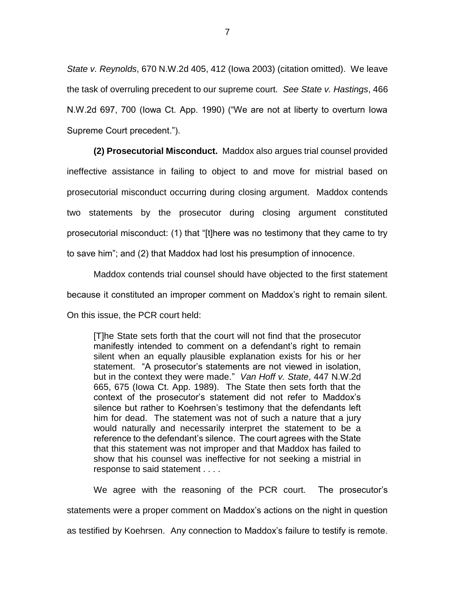*State v. Reynolds*, 670 N.W.2d 405, 412 (Iowa 2003) (citation omitted). We leave the task of overruling precedent to our supreme court. *See State v. Hastings*, 466 N.W.2d 697, 700 (Iowa Ct. App. 1990) ("We are not at liberty to overturn Iowa Supreme Court precedent.").

**(2) Prosecutorial Misconduct.** Maddox also argues trial counsel provided ineffective assistance in failing to object to and move for mistrial based on prosecutorial misconduct occurring during closing argument. Maddox contends two statements by the prosecutor during closing argument constituted prosecutorial misconduct: (1) that "[t]here was no testimony that they came to try to save him"; and (2) that Maddox had lost his presumption of innocence.

Maddox contends trial counsel should have objected to the first statement because it constituted an improper comment on Maddox's right to remain silent. On this issue, the PCR court held:

[T]he State sets forth that the court will not find that the prosecutor manifestly intended to comment on a defendant's right to remain silent when an equally plausible explanation exists for his or her statement. "A prosecutor's statements are not viewed in isolation, but in the context they were made." *Van Hoff v. State*, 447 N.W.2d 665, 675 (Iowa Ct. App. 1989). The State then sets forth that the context of the prosecutor's statement did not refer to Maddox's silence but rather to Koehrsen's testimony that the defendants left him for dead. The statement was not of such a nature that a jury would naturally and necessarily interpret the statement to be a reference to the defendant's silence. The court agrees with the State that this statement was not improper and that Maddox has failed to show that his counsel was ineffective for not seeking a mistrial in response to said statement . . . .

We agree with the reasoning of the PCR court. The prosecutor's statements were a proper comment on Maddox's actions on the night in question as testified by Koehrsen. Any connection to Maddox's failure to testify is remote.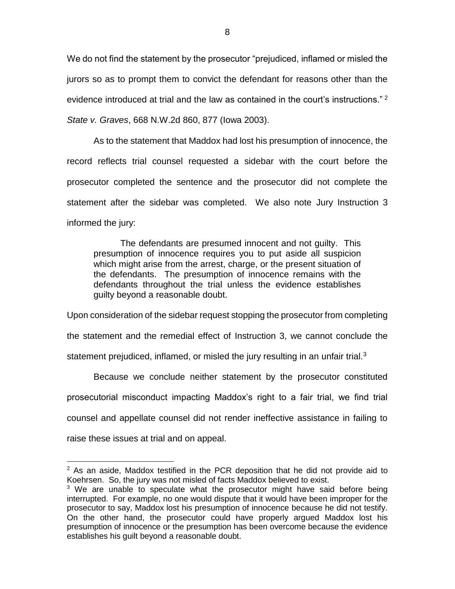We do not find the statement by the prosecutor "prejudiced, inflamed or misled the jurors so as to prompt them to convict the defendant for reasons other than the evidence introduced at trial and the law as contained in the court's instructions."<sup>2</sup> *State v. Graves*, 668 N.W.2d 860, 877 (Iowa 2003).

As to the statement that Maddox had lost his presumption of innocence, the record reflects trial counsel requested a sidebar with the court before the prosecutor completed the sentence and the prosecutor did not complete the statement after the sidebar was completed. We also note Jury Instruction 3 informed the jury:

The defendants are presumed innocent and not guilty. This presumption of innocence requires you to put aside all suspicion which might arise from the arrest, charge, or the present situation of the defendants. The presumption of innocence remains with the defendants throughout the trial unless the evidence establishes guilty beyond a reasonable doubt.

Upon consideration of the sidebar request stopping the prosecutor from completing the statement and the remedial effect of Instruction 3, we cannot conclude the statement prejudiced, inflamed, or misled the jury resulting in an unfair trial. $3$ 

Because we conclude neither statement by the prosecutor constituted prosecutorial misconduct impacting Maddox's right to a fair trial, we find trial counsel and appellate counsel did not render ineffective assistance in failing to raise these issues at trial and on appeal.

 $\overline{a}$ 

 $2$  As an aside, Maddox testified in the PCR deposition that he did not provide aid to Koehrsen. So, the jury was not misled of facts Maddox believed to exist.

 $3$  We are unable to speculate what the prosecutor might have said before being interrupted. For example, no one would dispute that it would have been improper for the prosecutor to say, Maddox lost his presumption of innocence because he did not testify. On the other hand, the prosecutor could have properly argued Maddox lost his presumption of innocence or the presumption has been overcome because the evidence establishes his guilt beyond a reasonable doubt.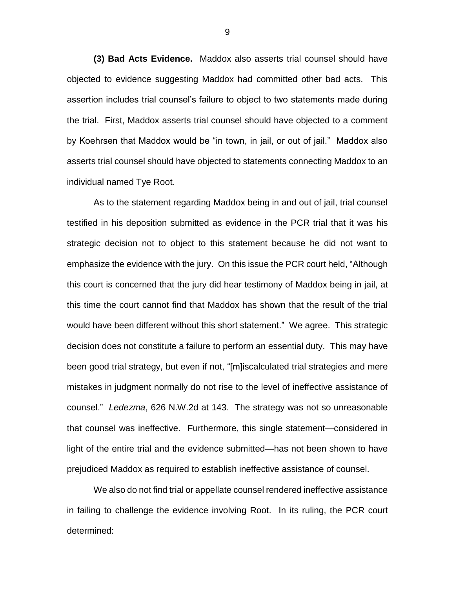**(3) Bad Acts Evidence.** Maddox also asserts trial counsel should have objected to evidence suggesting Maddox had committed other bad acts. This assertion includes trial counsel's failure to object to two statements made during the trial. First, Maddox asserts trial counsel should have objected to a comment by Koehrsen that Maddox would be "in town, in jail, or out of jail." Maddox also asserts trial counsel should have objected to statements connecting Maddox to an individual named Tye Root.

As to the statement regarding Maddox being in and out of jail, trial counsel testified in his deposition submitted as evidence in the PCR trial that it was his strategic decision not to object to this statement because he did not want to emphasize the evidence with the jury. On this issue the PCR court held, "Although this court is concerned that the jury did hear testimony of Maddox being in jail, at this time the court cannot find that Maddox has shown that the result of the trial would have been different without this short statement." We agree. This strategic decision does not constitute a failure to perform an essential duty. This may have been good trial strategy, but even if not, "[m]iscalculated trial strategies and mere mistakes in judgment normally do not rise to the level of ineffective assistance of counsel." *Ledezma*, 626 N.W.2d at 143. The strategy was not so unreasonable that counsel was ineffective. Furthermore, this single statement—considered in light of the entire trial and the evidence submitted—has not been shown to have prejudiced Maddox as required to establish ineffective assistance of counsel.

We also do not find trial or appellate counsel rendered ineffective assistance in failing to challenge the evidence involving Root. In its ruling, the PCR court determined:

9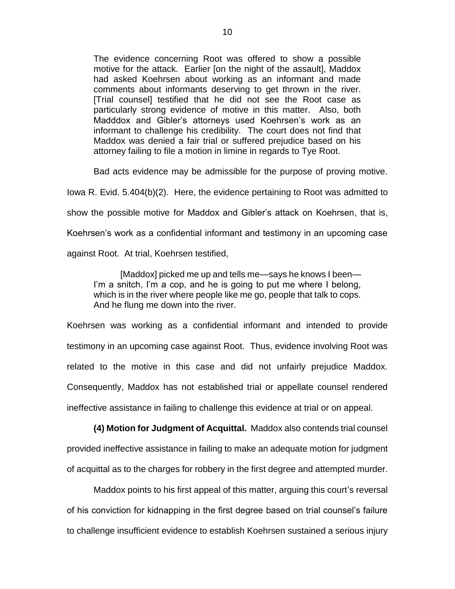The evidence concerning Root was offered to show a possible motive for the attack. Earlier [on the night of the assault], Maddox had asked Koehrsen about working as an informant and made comments about informants deserving to get thrown in the river. [Trial counsel] testified that he did not see the Root case as particularly strong evidence of motive in this matter. Also, both Madddox and Gibler's attorneys used Koehrsen's work as an informant to challenge his credibility. The court does not find that Maddox was denied a fair trial or suffered prejudice based on his attorney failing to file a motion in limine in regards to Tye Root.

Bad acts evidence may be admissible for the purpose of proving motive.

Iowa R. Evid. 5.404(b)(2). Here, the evidence pertaining to Root was admitted to show the possible motive for Maddox and Gibler's attack on Koehrsen, that is, Koehrsen's work as a confidential informant and testimony in an upcoming case against Root. At trial, Koehrsen testified,

[Maddox] picked me up and tells me—says he knows I been— I'm a snitch, I'm a cop, and he is going to put me where I belong, which is in the river where people like me go, people that talk to cops. And he flung me down into the river.

Koehrsen was working as a confidential informant and intended to provide testimony in an upcoming case against Root. Thus, evidence involving Root was related to the motive in this case and did not unfairly prejudice Maddox. Consequently, Maddox has not established trial or appellate counsel rendered ineffective assistance in failing to challenge this evidence at trial or on appeal.

**(4) Motion for Judgment of Acquittal.** Maddox also contends trial counsel provided ineffective assistance in failing to make an adequate motion for judgment of acquittal as to the charges for robbery in the first degree and attempted murder.

Maddox points to his first appeal of this matter, arguing this court's reversal of his conviction for kidnapping in the first degree based on trial counsel's failure to challenge insufficient evidence to establish Koehrsen sustained a serious injury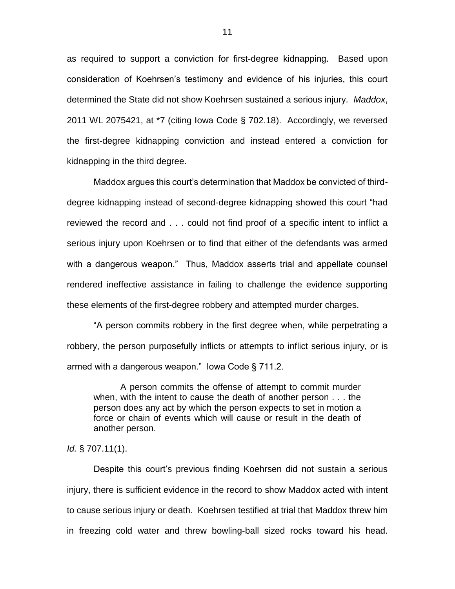as required to support a conviction for first-degree kidnapping. Based upon consideration of Koehrsen's testimony and evidence of his injuries, this court determined the State did not show Koehrsen sustained a serious injury. *Maddox*, 2011 WL 2075421, at \*7 (citing Iowa Code § 702.18). Accordingly, we reversed the first-degree kidnapping conviction and instead entered a conviction for kidnapping in the third degree.

Maddox argues this court's determination that Maddox be convicted of thirddegree kidnapping instead of second-degree kidnapping showed this court "had reviewed the record and . . . could not find proof of a specific intent to inflict a serious injury upon Koehrsen or to find that either of the defendants was armed with a dangerous weapon." Thus, Maddox asserts trial and appellate counsel rendered ineffective assistance in failing to challenge the evidence supporting these elements of the first-degree robbery and attempted murder charges.

"A person commits robbery in the first degree when, while perpetrating a robbery, the person purposefully inflicts or attempts to inflict serious injury, or is armed with a dangerous weapon." Iowa Code § 711.2.

A person commits the offense of attempt to commit murder when, with the intent to cause the death of another person . . . the person does any act by which the person expects to set in motion a force or chain of events which will cause or result in the death of another person.

## *Id.* § 707.11(1).

Despite this court's previous finding Koehrsen did not sustain a serious injury, there is sufficient evidence in the record to show Maddox acted with intent to cause serious injury or death. Koehrsen testified at trial that Maddox threw him in freezing cold water and threw bowling-ball sized rocks toward his head.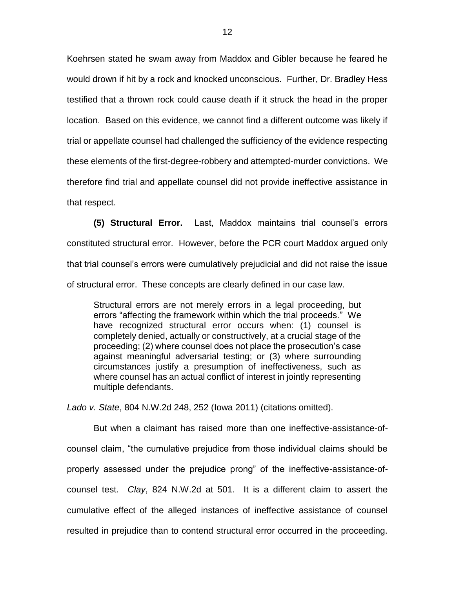Koehrsen stated he swam away from Maddox and Gibler because he feared he would drown if hit by a rock and knocked unconscious. Further, Dr. Bradley Hess testified that a thrown rock could cause death if it struck the head in the proper location. Based on this evidence, we cannot find a different outcome was likely if trial or appellate counsel had challenged the sufficiency of the evidence respecting these elements of the first-degree-robbery and attempted-murder convictions. We therefore find trial and appellate counsel did not provide ineffective assistance in that respect.

**(5) Structural Error.** Last, Maddox maintains trial counsel's errors constituted structural error. However, before the PCR court Maddox argued only that trial counsel's errors were cumulatively prejudicial and did not raise the issue of structural error. These concepts are clearly defined in our case law.

Structural errors are not merely errors in a legal proceeding, but errors "affecting the framework within which the trial proceeds." We have recognized structural error occurs when: (1) counsel is completely denied, actually or constructively, at a crucial stage of the proceeding; (2) where counsel does not place the prosecution's case against meaningful adversarial testing; or (3) where surrounding circumstances justify a presumption of ineffectiveness, such as where counsel has an actual conflict of interest in jointly representing multiple defendants.

*Lado v. State*, 804 N.W.2d 248, 252 (Iowa 2011) (citations omitted).

But when a claimant has raised more than one ineffective-assistance-ofcounsel claim, "the cumulative prejudice from those individual claims should be properly assessed under the prejudice prong" of the ineffective-assistance-ofcounsel test. *Clay*, 824 N.W.2d at 501. It is a different claim to assert the cumulative effect of the alleged instances of ineffective assistance of counsel resulted in prejudice than to contend structural error occurred in the proceeding.